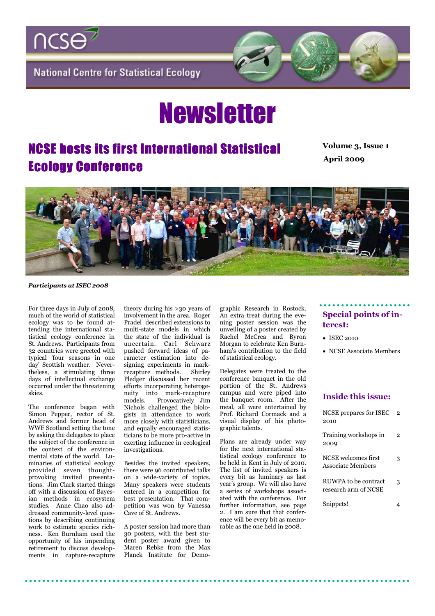

**National Centre for Statistical Ecology** 

# **Newsletter**

## **NCSE hosts its first International Statistical** Volume 3, Issue 1 Ecology Conference

April 2009



Participants at ISEC 2008

For three days in July of 2008, much of the world of statistical ecology was to be found attending the international statistical ecology conference in St. Andrews. Participants from 32 countries were greeted with typical 'four seasons in one day' Scottish weather. Nevertheless, a stimulating three days of intellectual exchange occurred under the threatening skies.

The conference began with Simon Pepper, rector of St. Andrews and former head of WWF Scotland setting the tone by asking the delegates to place the subject of the conference in the context of the environmental state of the world. Luminaries of statistical ecology provided seven thoughtprovoking invited presentations. Jim Clark started things off with a discussion of Bayesian methods in ecosystem studies. Anne Chao also addressed community-level questions by describing continuing work to estimate species richness. Ken Burnham used the opportunity of his impending retirement to discuss developments in capture-recapture theory during his >30 years of involvement in the area. Roger Pradel described extensions to multi-state models in which the state of the individual is uncertain. Carl Schwarz pushed forward ideas of parameter estimation into designing experiments in markrecapture methods. Shirley Pledger discussed her recent efforts incorporating heterogeneity into mark-recapture<br>models. Provocatively Jim Provocatively Jim Nichols challenged the biologists in attendance to work more closely with statisticians, and equally encouraged statisticians to be more pro-active in exerting influence in ecological investigations.

Besides the invited speakers, there were 96 contributed talks on a wide-variety of topics. Many speakers were students entered in a competition for best presentation. That competition was won by Vanessa Cave of St. Andrews.

A poster session had more than 30 posters, with the best student poster award given to Maren Rebke from the Max Planck Institute for Demographic Research in Rostock. An extra treat during the evening poster session was the unveiling of a poster created by Rachel McCrea and Byron Morgan to celebrate Ken Burnham's contribution to the field of statistical ecology.

Delegates were treated to the conference banquet in the old portion of the St. Andrews campus and were piped into the banquet room. After the meal, all were entertained by Prof. Richard Cormack and a visual display of his photographic talents.

Plans are already under way for the next international statistical ecology conference to be held in Kent in July of 2010. The list of invited speakers is every bit as luminary as last year's group. We will also have a series of workshops associated with the conference. For further information, see page 2. I am sure that that conference will be every bit as memorable as the one held in 2008.

## Special points of interest:

- ISEC 2010
- NCSE Associate Members

#### Inside this issue:

| NCSE prepares for ISEC<br>2010               | $\overline{2}$ |
|----------------------------------------------|----------------|
| Training workshops in<br>2009                | $\overline{2}$ |
| NCSE welcomes first<br>Associate Members     | 3              |
| RUWPA to be contract<br>research arm of NCSE | 3              |
| Snippets!                                    |                |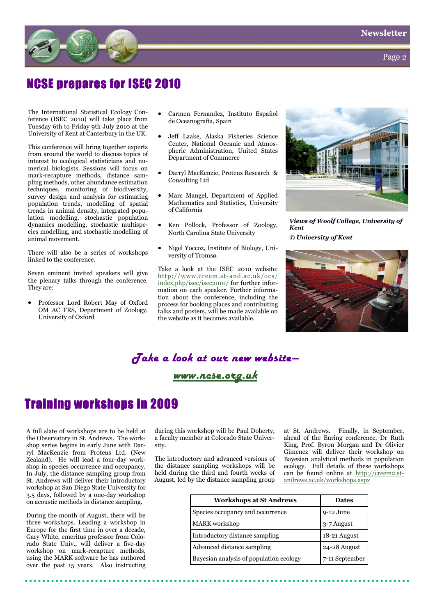Page 2



## NCSE prepares for ISEC 2010

The International Statistical Ecology Conference (ISEC 2010) will take place from Tuesday 6th to Friday 9th July 2010 at the University of Kent at Canterbury in the UK.

This conference will bring together experts from around the world to discuss topics of interest to ecological statisticians and numerical biologists. Sessions will focus on mark-recapture methods, distance sampling methods, other abundance estimation techniques, monitoring of biodiversity, survey design and analysis for estimating population trends, modelling of spatial trends in animal density, integrated population modelling, stochastic population dynamics modelling, stochastic multispecies modelling, and stochastic modelling of animal movement.

There will also be a series of workshops linked to the conference.

Seven eminent invited speakers will give the plenary talks through the conference. They are:

• Professor Lord Robert May of Oxford OM AC FRS, Department of Zoology, University of Oxford

- Carmen Fernandez, Instituto Español de Oceanografía, Spain
- Jeff Laake, Alaska Fisheries Science Center, National Oceanic and Atmospheric Administration, United States Department of Commerce
- Darryl MacKenzie, Proteus Research & Consulting Ltd
- Marc Mangel, Department of Applied Mathematics and Statistics, University of California
- Ken Pollock, Professor of Zoology, North Carolina State University
- Nigel Yoccoz, Institute of Biology, University of Tromsø.

Take a look at the ISEC 2010 website: http://www.creem.st-and.ac.uk/ocs/ index.php/isec/isec2010/ for further information on each speaker. Further information about the conference, including the process for booking places and contributing talks and posters, will be made available on the website as it becomes available.



Views of Woolf College, University of Kent © University of Kent



## *Take a look at our new website— look new website—*



## **Training workshops in 2009**

A full slate of workshops are to be held at the Observatory in St. Andrews. The workshop series begins in early June with Darryl MacKenzie from Proteus Ltd. (New Zealand). He will lead a four-day workshop in species occurrence and occupancy. In July, the distance sampling group from St. Andrews will deliver their introductory workshop at San Diego State University for 3.5 days, followed by a one-day workshop on acoustic methods in distance sampling.

During the month of August, there will be three workshops. Leading a workshop in Europe for the first time in over a decade, Gary White, emeritus professor from Colorado State Univ., will deliver a five-day workshop on mark-recapture methods, using the MARK software he has authored over the past 15 years. Also instructing

during this workshop will be Paul Doherty, a faculty member at Colorado State University.

The introductory and advanced versions of the distance sampling workshops will be held during the third and fourth weeks of August, led by the distance sampling group

at St. Andrews. Finally, in September, ahead of the Euring conference, Dr Ruth King, Prof. Byron Morgan and Dr Olivier Gimenez will deliver their workshop on Bayesian analytical methods in population ecology. Full details of these workshops can be found online at http://creem2.standrews.ac.uk/workshops.aspx

| <b>Workshops at St Andrews</b>          | <b>Dates</b>   |
|-----------------------------------------|----------------|
| Species occupancy and occurrence        | $9-12$ June    |
| <b>MARK</b> workshop                    | 3-7 August     |
| Introductory distance sampling          | 18-21 August   |
| Advanced distance sampling              | 24-28 August   |
| Bayesian analysis of population ecology | 7-11 September |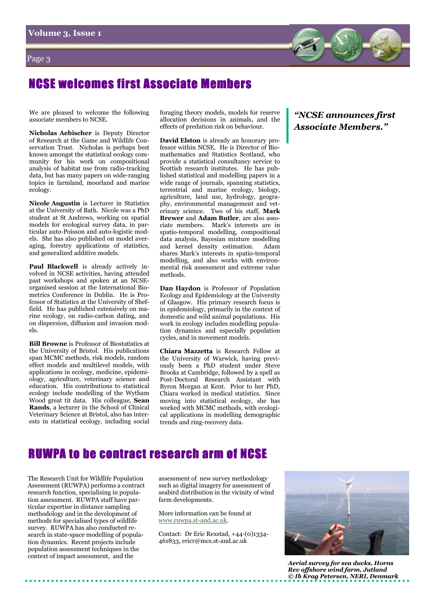#### Page 3



## NCSE welcomes first Associate Members

We are pleased to welcome the following associate members to NCSE.

Nicholas Aebischer is Deputy Director of Research at the Game and Wildlife Conservation Trust. Nicholas is perhaps best known amongst the statistical ecology community for his work on compositional analysis of habitat use from radio-tracking data, but has many papers on wide-ranging topics in farmland, moorland and marine ecology.

Nicole Augustin is Lecturer in Statistics at the University of Bath. Nicole was a PhD student at St Andrews, working on spatial models for ecological survey data, in particular auto-Poisson and auto-logistic models. She has also published on model averaging, forestry applications of statistics, and generalized additive models.

Paul Blackwell is already actively involved in NCSE activities, having attended past workshops and spoken at an NCSEorganised session at the International Biometrics Conference in Dublin. He is Professor of Statistics at the University of Sheffield. He has published extensively on marine ecology, on radio-carbon dating, and on dispersion, diffusion and invasion models.

Bill Browne is Professor of Biostatistics at the University of Bristol. His publications span MCMC methods, risk models, random effect models and multilevel models, with applications in ecology, medicine, epidemiology, agriculture, veterinary science and education. His contributions to statistical ecology include modelling of the Wytham Wood great tit data. His colleague, Sean Rands, a lecturer in the School of Clinical Veterinary Science at Bristol, also has interests in statistical ecology, including social foraging theory models, models for reserve allocation decisions in animals, and the effects of predation risk on behaviour.

David Elston is already an honorary professor within NCSE. He is Director of Biomathematics and Statistics Scotland, who provide a statistical consultancy service to Scottish research institutes. He has published statistical and modelling papers in a wide range of journals, spanning statistics, terrestrial and marine ecology, biology, agriculture, land use, hydrology, geography, environmental management and veterinary science. Two of his staff, Mark Brewer and Adam Butler, are also associate members. Mark's interests are in spatio-temporal modelling, compositional data analysis, Bayesian mixture modelling and kernel density estimation. Adam shares Mark's interests in spatio-temporal modelling, and also works with environmental risk assessment and extreme value methods.

Dan Haydon is Professor of Population Ecology and Epidemiology at the University of Glasgow. His primary research focus is in epidemiology, primarily in the context of domestic and wild animal populations. His work in ecology includes modelling population dynamics and especially population cycles, and in movement models.

Chiara Mazzetta is Research Fellow at the University of Warwick, having previously been a PhD student under Steve Brooks at Cambridge, followed by a spell as Post-Doctoral Research Assistant with Byron Morgan at Kent. Prior to her PhD, Chiara worked in medical statistics. Since moving into statistical ecology, she has worked with MCMC methods, with ecological applications in modelling demographic trends and ring-recovery data.

#### "NCSE announces first Associate Members."

## UWPA to be contract research arm of NCSE

The Research Unit for Wildlife Population Assessment (RUWPA) performs a contract research function, specialising in population assessment. RUWPA staff have particular expertise in distance sampling methodology and in the development of methods for specialised types of wildlife survey. RUWPA has also conducted research in state-space modelling of population dynamics. Recent projects include population assessment techniques in the context of impact assessment, and the

assessment of new survey methodology such as digital imagery for assessment of seabird distribution in the vicinity of wind farm developments.

More information can be found at www.ruwpa.st-and.ac.uk.

Contact: Dr Eric Rexstad, +44-(0)1334- 461833, ericr@mcs.st-and.ac.uk



Aerial survey for sea ducks, Horns Rev offshore wind farm, Jutland © Ib Krag Petersen, NERI, Denmark